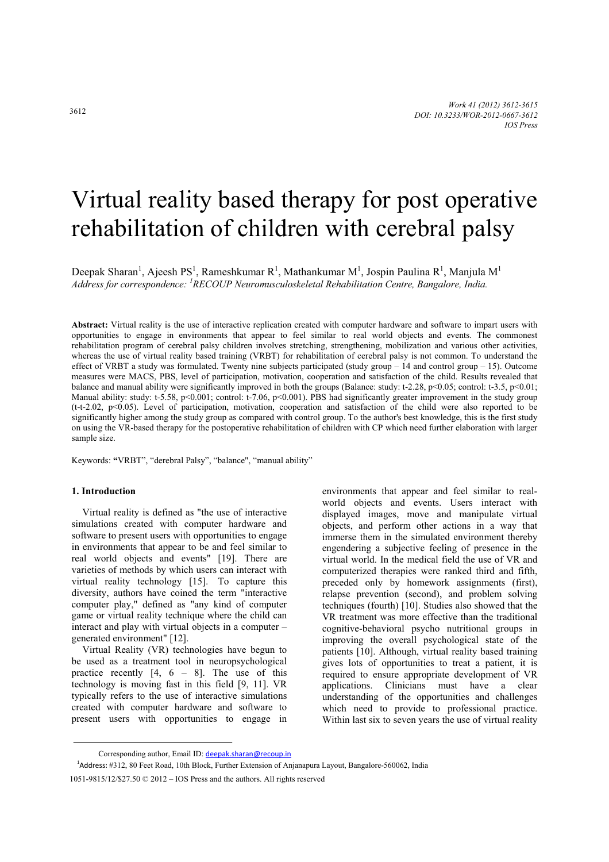# Virtual reality based therapy for post operative rehabilitation of children with cerebral palsy

Deepak Sharan<sup>1</sup>, Ajeesh PS<sup>1</sup>, Rameshkumar R<sup>1</sup>, Mathankumar M<sup>1</sup>, Jospin Paulina R<sup>1</sup>, Manjula M<sup>1</sup> *Address for correspondence: <sup>1</sup> RECOUP Neuromusculoskeletal Rehabilitation Centre, Bangalore, India.* 

**Abstract:** Virtual reality is the use of interactive replication created with computer hardware and software to impart users with opportunities to engage in environments that appear to feel similar to real world objects and events. The commonest rehabilitation program of cerebral palsy children involves stretching, strengthening, mobilization and various other activities, whereas the use of virtual reality based training (VRBT) for rehabilitation of cerebral palsy is not common. To understand the effect of VRBT a study was formulated. Twenty nine subjects participated (study group  $-14$  and control group  $-15$ ). Outcome measures were MACS, PBS, level of participation, motivation, cooperation and satisfaction of the child. Results revealed that balance and manual ability were significantly improved in both the groups (Balance: study: t-2.28, p<0.05; control: t-3.5, p<0.01; Manual ability: study: t-5.58, p<0.001; control: t-7.06, p<0.001). PBS had significantly greater improvement in the study group (t-t-2.02, p<0.05). Level of participation, motivation, cooperation and satisfaction of the child were also reported to be significantly higher among the study group as compared with control group. To the author's best knowledge, this is the first study on using the VR-based therapy for the postoperative rehabilitation of children with CP which need further elaboration with larger sample size.

Keywords: **"**VRBT", "derebral Palsy", "balance", "manual ability"

## **1. Introduction**

Virtual reality is defined as "the use of interactive simulations created with computer hardware and software to present users with opportunities to engage in environments that appear to be and feel similar to real world objects and events" [19]. There are varieties of methods by which users can interact with virtual reality technology [15]. To capture this diversity, authors have coined the term "interactive computer play," defined as "any kind of computer game or virtual reality technique where the child can interact and play with virtual objects in a computer – generated environment" [12].

Virtual Reality (VR) technologies have begun to be used as a treatment tool in neuropsychological practice recently [4, 6 – 8]. The use of this technology is moving fast in this field [9, 11]. VR typically refers to the use of interactive simulations created with computer hardware and software to present users with opportunities to engage in environments that appear and feel similar to realworld objects and events. Users interact with displayed images, move and manipulate virtual objects, and perform other actions in a way that immerse them in the simulated environment thereby engendering a subjective feeling of presence in the virtual world. In the medical field the use of VR and computerized therapies were ranked third and fifth, preceded only by homework assignments (first), relapse prevention (second), and problem solving techniques (fourth) [10]. Studies also showed that the VR treatment was more effective than the traditional cognitive-behavioral psycho nutritional groups in improving the overall psychological state of the patients [10]. Although, virtual reality based training gives lots of opportunities to treat a patient, it is required to ensure appropriate development of VR applications. Clinicians must have a clear understanding of the opportunities and challenges which need to provide to professional practice. Within last six to seven years the use of virtual reality

Corresponding author, Email ID: deepak.sharan@recoup.in

<sup>&</sup>lt;sup>1</sup>Address: #312, 80 Feet Road, 10th Block, Further Extension of Anjanapura Layout, Bangalore-560062, India

<sup>1051-9815/12/\$27.50 © 2012 –</sup> IOS Press and the authors. All rights reserved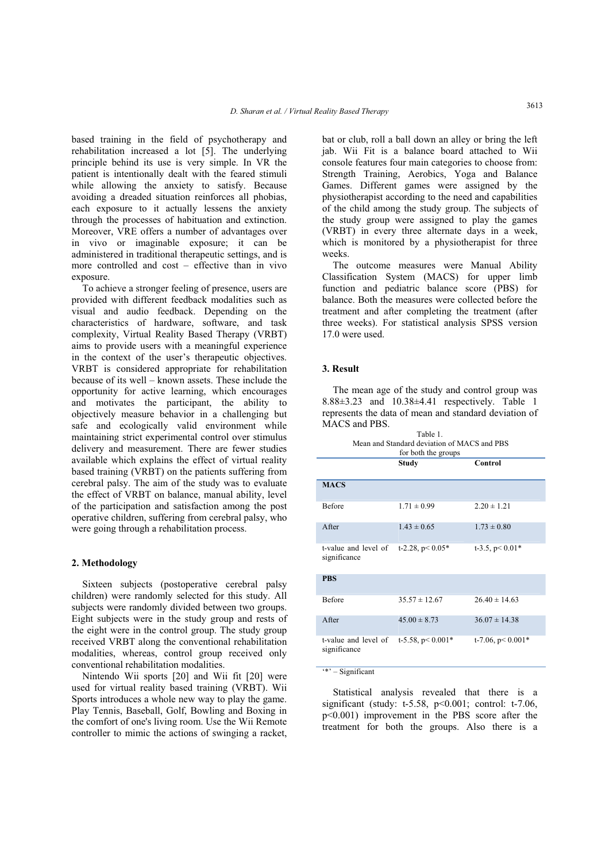based training in the field of psychotherapy and rehabilitation increased a lot [5]. The underlying principle behind its use is very simple. In VR the patient is intentionally dealt with the feared stimuli while allowing the anxiety to satisfy. Because avoiding a dreaded situation reinforces all phobias, each exposure to it actually lessens the anxiety through the processes of habituation and extinction. Moreover, VRE offers a number of advantages over in vivo or imaginable exposure; it can be administered in traditional therapeutic settings, and is more controlled and cost – effective than in vivo exposure.

To achieve a stronger feeling of presence, users are provided with different feedback modalities such as visual and audio feedback. Depending on the characteristics of hardware, software, and task complexity, Virtual Reality Based Therapy (VRBT) aims to provide users with a meaningful experience in the context of the user's therapeutic objectives. VRBT is considered appropriate for rehabilitation because of its well – known assets. These include the opportunity for active learning, which encourages and motivates the participant, the ability to objectively measure behavior in a challenging but safe and ecologically valid environment while maintaining strict experimental control over stimulus delivery and measurement. There are fewer studies available which explains the effect of virtual reality based training (VRBT) on the patients suffering from cerebral palsy. The aim of the study was to evaluate the effect of VRBT on balance, manual ability, level of the participation and satisfaction among the post operative children, suffering from cerebral palsy, who were going through a rehabilitation process.

#### **2. Methodology**

Sixteen subjects (postoperative cerebral palsy children) were randomly selected for this study. All subjects were randomly divided between two groups. Eight subjects were in the study group and rests of the eight were in the control group. The study group received VRBT along the conventional rehabilitation modalities, whereas, control group received only conventional rehabilitation modalities.

Nintendo Wii sports [20] and Wii fit [20] were used for virtual reality based training (VRBT). Wii Sports introduces a whole new way to play the game. Play Tennis, Baseball, Golf, Bowling and Boxing in the comfort of one's living room. Use the Wii Remote controller to mimic the actions of swinging a racket, bat or club, roll a ball down an alley or bring the left jab. Wii Fit is a balance board attached to Wii console features four main categories to choose from: Strength Training, Aerobics, Yoga and Balance Games. Different games were assigned by the physiotherapist according to the need and capabilities of the child among the study group. The subjects of the study group were assigned to play the games (VRBT) in every three alternate days in a week, which is monitored by a physiotherapist for three weeks.

The outcome measures were Manual Ability Classification System (MACS) for upper limb function and pediatric balance score (PBS) for balance. Both the measures were collected before the treatment and after completing the treatment (after three weeks). For statistical analysis SPSS version 17.0 were used.

## **3. Result**

The mean age of the study and control group was 8.88±3.23 and 10.38±4.41 respectively. Table 1 represents the data of mean and standard deviation of MACS and PBS.

| for both the groups                  |                      |                      |  |  |
|--------------------------------------|----------------------|----------------------|--|--|
|                                      | Study                | Control              |  |  |
| <b>MACS</b>                          |                      |                      |  |  |
| <b>Before</b>                        | $1.71 \pm 0.99$      | $2.20 \pm 1.21$      |  |  |
| A fter                               | $1.43 \pm 0.65$      | $1.73 \pm 0.80$      |  |  |
| t-value and level of<br>significance | t-2.28, $p < 0.05*$  | t-3.5, $p < 0.01*$   |  |  |
| <b>PBS</b>                           |                      |                      |  |  |
| <b>Before</b>                        | $35.57 \pm 12.67$    | $26.40 \pm 14.63$    |  |  |
| After                                | $45.00 \pm 8.73$     | $36.07 \pm 14.38$    |  |  |
| t-value and level of<br>significance | t-5.58, $p < 0.001*$ | t-7.06, $p < 0.001*$ |  |  |

#### '\*' – Significant

Statistical analysis revealed that there is a significant (study:  $t-5.58$ ,  $p<0.001$ ; control:  $t-7.06$ , p<0.001) improvement in the PBS score after the treatment for both the groups. Also there is a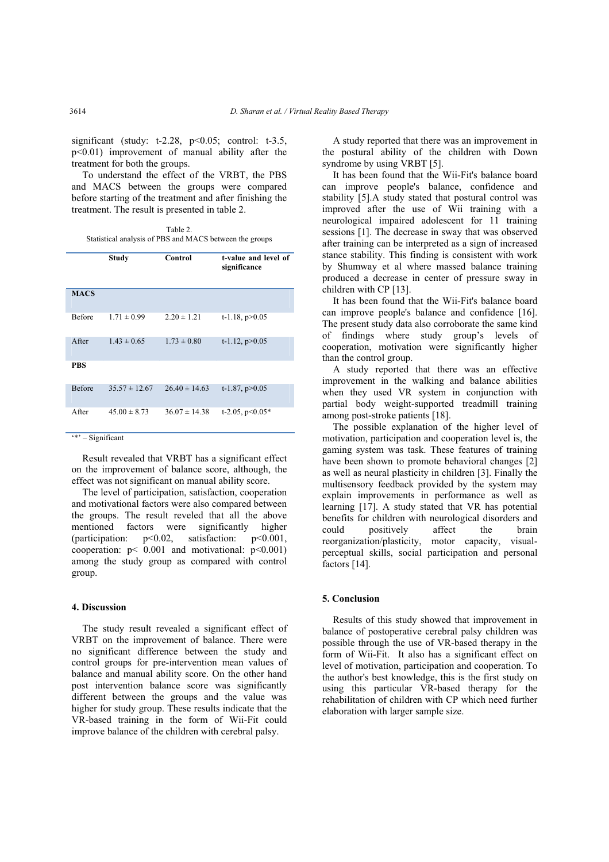significant (study:  $t-2.28$ ,  $p<0.05$ ; control:  $t-3.5$ , p<0.01) improvement of manual ability after the treatment for both the groups.

To understand the effect of the VRBT, the PBS and MACS between the groups were compared before starting of the treatment and after finishing the treatment. The result is presented in table 2.

Table 2. Statistical analysis of PBS and MACS between the groups

|               | Study             | Control           | t-value and level of<br>significance |
|---------------|-------------------|-------------------|--------------------------------------|
| <b>MACS</b>   |                   |                   |                                      |
| <b>Before</b> | $1.71 \pm 0.99$   | $2.20 \pm 1.21$   | t-1.18, $p > 0.05$                   |
| After         | $1.43 \pm 0.65$   | $1.73 \pm 0.80$   | $t-1.12$ , $p>0.05$                  |
| <b>PBS</b>    |                   |                   |                                      |
| <b>Before</b> | $35.57 \pm 12.67$ | $26.40 \pm 14.63$ | $t-1.87$ , $p>0.05$                  |
| After         | $45.00 \pm 8.73$  | $36.07 \pm 14.38$ | t-2.05, $p<0.05*$                    |

'\*' – Significant

Result revealed that VRBT has a significant effect on the improvement of balance score, although, the effect was not significant on manual ability score.

The level of participation, satisfaction, cooperation and motivational factors were also compared between the groups. The result reveled that all the above mentioned factors were significantly higher (participation: p<0.02, satisfaction: p<0.001, cooperation:  $p < 0.001$  and motivational:  $p < 0.001$ ) among the study group as compared with control group.

## **4. Discussion**

The study result revealed a significant effect of VRBT on the improvement of balance. There were no significant difference between the study and control groups for pre-intervention mean values of balance and manual ability score. On the other hand post intervention balance score was significantly different between the groups and the value was higher for study group. These results indicate that the VR-based training in the form of Wii-Fit could improve balance of the children with cerebral palsy.

A study reported that there was an improvement in the postural ability of the children with Down syndrome by using VRBT [5].

It has been found that the Wii-Fit's balance board can improve people's balance, confidence and stability [5].A study stated that postural control was improved after the use of Wii training with a neurological impaired adolescent for 11 training sessions [1]. The decrease in sway that was observed after training can be interpreted as a sign of increased stance stability. This finding is consistent with work by Shumway et al where massed balance training produced a decrease in center of pressure sway in children with CP [13].

It has been found that the Wii-Fit's balance board can improve people's balance and confidence [16]. The present study data also corroborate the same kind of findings where study group's levels of cooperation, motivation were significantly higher than the control group.

A study reported that there was an effective improvement in the walking and balance abilities when they used VR system in conjunction with partial body weight-supported treadmill training among post-stroke patients [18].

The possible explanation of the higher level of motivation, participation and cooperation level is, the gaming system was task. These features of training have been shown to promote behavioral changes [2] as well as neural plasticity in children [3]. Finally the multisensory feedback provided by the system may explain improvements in performance as well as learning [17]. A study stated that VR has potential benefits for children with neurological disorders and could positively affect the brain reorganization/plasticity, motor capacity, visualperceptual skills, social participation and personal factors [14].

# **5. Conclusion**

Results of this study showed that improvement in balance of postoperative cerebral palsy children was possible through the use of VR-based therapy in the form of Wii-Fit. It also has a significant effect on level of motivation, participation and cooperation. To the author's best knowledge, this is the first study on using this particular VR-based therapy for the rehabilitation of children with CP which need further elaboration with larger sample size.